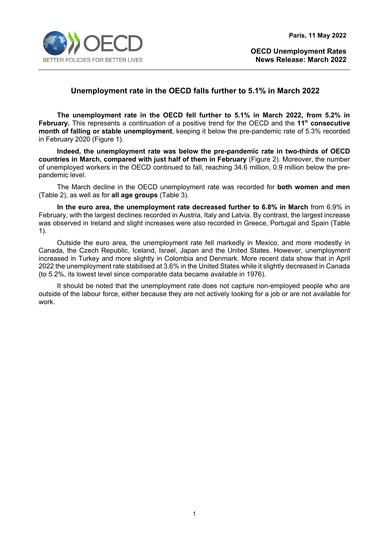

# **Unemployment rate in the OECD falls further to 5.1% in March 2022**

**The unemployment rate in the OECD fell further to 5.1% in March 2022, from 5.2% in February.** This represents a continuation of a positive trend for the OECD and the **11th consecutive month of falling or stable unemployment**, keeping it below the pre-pandemic rate of 5.3% recorded in February 2020 (Figure 1).

**Indeed, the unemployment rate was below the pre-pandemic rate in two-thirds of OECD countries in March, compared with just half of them in February** (Figure 2). Moreover, the number of unemployed workers in the OECD continued to fall, reaching 34.6 million, 0.9 million below the prepandemic level.

The March decline in the OECD unemployment rate was recorded for **both women and men** (Table 2), as well as for **all age groups** (Table 3).

**In the euro area, the unemployment rate decreased further to 6.8% in March** from 6.9% in February, with the largest declines recorded in Austria, Italy and Latvia. By contrast, the largest increase was observed in Ireland and slight increases were also recorded in Greece, Portugal and Spain (Table 1).

Outside the euro area, the unemployment rate fell markedly in Mexico, and more modestly in Canada, the Czech Republic, Iceland, Israel, Japan and the United States. However, unemployment increased in Turkey and more slightly in Colombia and Denmark. More recent data show that in April 2022 the unemployment rate stabilised at 3.6% in the United States while it slightly decreased in Canada (to 5.2%, its lowest level since comparable data became available in 1976).

It should be noted that the unemployment rate does not capture non-employed people who are outside of the labour force, either because they are not actively looking for a job or are not available for work.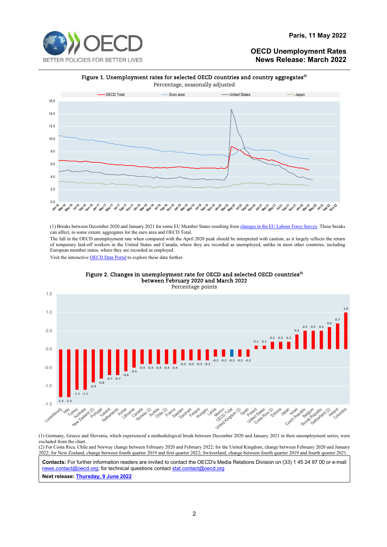

#### **Paris, 11 May 2022**

### **OECD Unemployment Rates News Release: March 2022**



(1) Breaks between December 2020 and January 2021 for some EU Member States resulting fro[m changes in the EU Labour Force Survey.](https://ec.europa.eu/eurostat/statistics-explained/index.php?title=EU_Labour_Force_Survey_-_new_methodology_from_2021_onwards) These breaks can affect, to some extent, aggregates for the euro area and OECD Total.

The fall in the OECD unemployment rate when compared with the April 2020 peak should be interpreted with caution, as it largely reflects the return of temporary laid-off workers in the United States and Canada, where they are recorded as unemployed, unlike in most other countries, including European member states, where they are recorded as employed.

Visit the interactiv[e OECD Data Portal](https://data.oecd.org/unemp/unemployment-rate.htm) to explore these data further.



#### Figure 2. Changes in unemployment rate for OECD and selected OECD countries $^{\text{\tiny (1)}}$ between February 2020 and March 2022

(1) Germany, Greece and Slovenia, which experienced a methodological break between December 2020 and January 2021 in their unemployment series, were excluded from the chart. (2) For Costa Rica, Chile and Norway change between February 2020 and February 2022; for the United Kingdom, change between February 2020 and January

2022; for New Zealand, change between fourth quarter 2019 and first quarter 2022; Switzerland, change between fourth quarter 2019 and fourth quarter 2021.

**Contacts:** For further information readers are invited to contact the OECD's Media Relations Division on (33) 1 45 24 97 00 or e-mail [news.contact@oecd.org;](mailto:news.contact@oecd.org) for technical questions contact stat.contact@oecd.org

**Next release: [Thursday, 9 June 2022](https://www.oecd.org/sdd/labour-stats/releasedatesoftheoecdnewsreleasesonharmonisedunemploymentrates.htm)**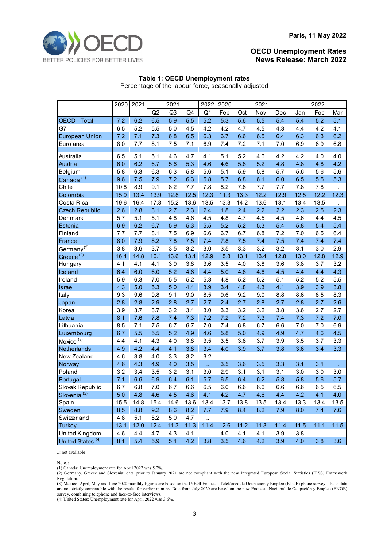

#### **Table 1: OECD Unemployment rates** Percentage of the labour force, seasonally adjusted

|                                                | 2020<br>2021 |            | 2021           |            | 2022        | 2020                         |            | 2021       |            | 2022       |            |                 |                  |
|------------------------------------------------|--------------|------------|----------------|------------|-------------|------------------------------|------------|------------|------------|------------|------------|-----------------|------------------|
|                                                |              |            | Q <sub>2</sub> | Q3         | Q4          | Q1                           | Feb        | Oct        | Nov        | Dec        | Jan        | Feb             | Mar              |
| <b>OECD - Total</b>                            | 7.2          | 6.2        | 6.5            | 5.9        | 5.5         | 5.2                          | 5.3        | 5.6        | 5.5        | 5.4        | 5.4        | 5.2             | 5.1              |
| G7                                             | 6.5          | 5.2        | 5.5            | 5.0        | 4.5         | 4.2                          | 4.2        | 4.7        | 4.5        | 4.3        | 4.4        | 4.2             | 4.1              |
| <b>European Union</b>                          | 7.2          | 7.1        | 7.3            | 6.8        | 6.5         | 6.3                          | 6.7        | 6.6        | 6.5        | 6.4        | 6.3        | 6.3             | 6.2              |
| Euro area                                      | 8.0          | 7.7        | 8.1            | 7.5        | 7.1         | 6.9                          | 7.4        | 7.2        | 7.1        | 7.0        | 6.9        | 6.9             | 6.8              |
|                                                |              |            |                |            |             |                              |            |            |            |            |            |                 |                  |
| Australia                                      | 6.5          | 5.1        | 5.1            | 4.6        | 4.7         | 4.1                          | 5.1        | 5.2        | 4.6        | 4.2        | 4.2        | 4.0             | 4.0              |
| Austria                                        | 6.0          | 6.2        | 6.7            | 5.6        | 5.3         | 4.6                          | 4.6        | 5.8        | 5.2        | 4.8        | 4.8        | 4.8             | 4.2              |
| Belgium                                        | 5.8          | 6.3        | 6.3            | 6.3        | 5.8         | 5.6                          | 5.1        | 5.9        | 5.8        | 5.7        | 5.6        | 5.6             | 5.6              |
| Canada <sup>(1)</sup>                          | 9.6          | 7.5        | 7.9            | 7.2        | 6.3         | 5.8                          | 5.7        | 6.8        | 6.1        | 6.0        | 6.5        | 5.5             | 5.3              |
| Chile                                          | 10.8         | 8.9        | 9.1            | 8.2        | 7.7         | 7.8                          | 8.2        | 7.8        | 7.7        | 7.7        | 7.8        | 7.8             |                  |
| Colombia                                       | 15.9         | 13.4       | 13.9           | 12.8       | 12.5        | 12.3                         | 11.3       | 13.3       | 12.2       | 12.9       | 12.5       | 12.2            | 12.3             |
| Costa Rica                                     | 19.6         | 16.4       | 17.8           | 15.2       | 13.6        | 13.5                         | 13.3       | 14.2       | 13.6       | 13.1       | 13.4       | 13.5            |                  |
| <b>Czech Republic</b>                          | 2.6          | 2.8        | 3.1            | 2.7        | 2.3         | 2.4                          | 1.8        | 2.4        | 2.2        | 2.2        | 2.3        | 2.5             | 2.3              |
| Denmark                                        | 5.7          | 5.1        | 5.1            | 4.8        | 4.6         | 4.5                          | 4.8        | 4.7        | 4.5        | 4.5        | 4.6        | 4.4             | 4.5              |
| Estonia                                        | 6.9          | 6.2        | 6.7            | 5.9        | 5.3         | 5.5                          | 5.2        | 5.2        | 5.3        | 5.4        | 5.8        | 5.4             | 5.4              |
| Finland                                        | 7.7          | 7.7        | 8.1            | 7.5        | 6.9         | 6.6                          | 6.7        | 6.7        | 6.8        | 7.2        | 7.0        | 6.5             | 6.4              |
| France                                         | 8.0          | 7.9        | 8.2            | 7.8        | 7.5         | 7.4                          | 7.8        | 7.5        | 7.4        | 7.5        | 7.4        | 7.4             | 7.4              |
| Germany <sup>(2)</sup>                         | 3.8          | 3.6        | 3.7            | 3.5        | 3.2         | 3.0                          | 3.5        | 3.3        | 3.2        | 3.2        | 3.1        | 3.0             | 2.9              |
| Greece <sup>(2)</sup>                          | 16.4         | 14.8       | 16.1           | 13.6       | 13.1        | 12.9                         | 15.8       | 13.1       | 13.4       | 12.8       | 13.0       | 12.8            | 12.9             |
| Hungary                                        | 4.1          | 4.1        | 4.1            | 3.9        | 3.8         | 3.6                          | 3.5        | 4.0        | 3.8        | 3.6        | 3.8        | 3.7             | 3.2              |
| Iceland                                        | 6.4          | 6.0        | 6.0            | 5.2        | 4.6         | 4.4                          | 5.0        | 4.8        | 4.6        | 4.5        | 4.4        | 4.4             | 4.3              |
| Ireland                                        | 5.9          | 6.3        | 7.0            | 5.5        | 5.2         | 5.3                          | 4.8        | 5.2        | 5.2        | 5.1        | 5.2        | 5.2             | 5.5              |
| Israel                                         | 4.3          | 5.0        | 5.3            | 5.0        | 4.4         | 3.9                          | 3.4        | 4.8        | 4.3        | 4.1        | 3.9        | 3.9             | 3.8              |
| Italy                                          | 9.3          | 9.6        | 9.8            | 9.1        | 9.0         | 8.5                          | 9.6        | 9.2        | 9.0        | 8.8        | 8.6        | 8.5             | 8.3              |
| Japan                                          | 2.8          | 2.8        | 2.9            | 2.8        | 2.7         | 2.7                          | 2.4        | 2.7        | 2.8        | 2.7        | 2.8        | 2.7             | 2.6              |
| Korea                                          | 3.9          | 3.7        | 3.7            | 3.2        | 3.4         | 3.0                          | 3.3        | 3.2        | 3.2        | 3.8        | 3.6        | 2.7             | 2.7              |
| Latvia                                         | 8.1          | 7.6        | 7.8            | 7.4        | 7.3         | 7.2                          | 7.2        | 7.2        | 7.3        | 7.4        | 7.3        | 7.2             | 7.0              |
| Lithuania                                      | 8.5          | 7.1        | 7.5<br>5.5     | 6.7        | 6.7         | 7.0                          | 7.4        | 6.8        | 6.7        | 6.6        | 7.0        | 7.0             | 6.9              |
| Luxembourg                                     | 6.7          | 5.5        |                | 5.2        | 4.9         | 4.6                          | 5.8        | 5.0        | 4.9        | 4.9        | 4.7        | 4.6             | 4.5              |
| Mexico <sup>(3)</sup>                          | 4.4          | 4.1<br>4.2 | 4.3<br>4.4     | 4.0<br>4.1 | 3.8         | 3.5                          | 3.5<br>4.0 | 3.8        | 3.7        | 3.9<br>3.8 | 3.5        | 3.7<br>3.4      | 3.3              |
| Netherlands                                    | 4.9          | 3.8        |                | 3.3        | 3.8<br>3.2  | 3.4<br>3.2                   |            | 3.9        | 3.7        |            | 3.6        |                 | 3.3              |
| New Zealand                                    | 4.6          | 4.3        | 4.0<br>4.9     | 4.0        | 3.5         |                              | 3.5        | 3.6        |            | 3.3        | 3.1        | 3.1             |                  |
| Norway<br>Poland                               | 4.6<br>3.2   | 3.4        | 3.5            | 3.2        | 3.1         | u.<br>3.0                    | 2.9        | 3.1        | 3.5<br>3.1 | 3.1        | 3.0        | 3.0             | u,<br>3.0        |
| Portugal                                       | 7.1          | 6.6        | 6.9            | 6.4        | 6.1         | 5.7                          | 6.5        | 6.4        | 6.2        | 5.8        | 5.8        | 5.6             | 5.7              |
| Slovak Republic                                | 6.7          | 6.8        | 7.0            | 6.7        | 6.6         | 6.5                          | 6.0        | 6.6        | 6.6        | 6.6        | 6.6        | 6.5             | 6.5              |
| Slovenia <sup>(2)</sup>                        |              | 4.8        | 4.6            | 4.5        |             | 4.1                          | 4.2        | 4.7        | 4.6        | 4.4        | 4.2        | 4.1             | 4.0              |
| Spain                                          | 5.0<br>15.5  | 14.8       | 15.4           | 14.6       | 4.6<br>13.6 | 13.4                         | 13.7       | 13.8       | 13.5       | 13.4       | 13.3       | 13.4            | 13.5             |
| Sweden                                         | 8.5          | 8.8        | 9.2            | 8.6        | 8.2         | 7.7                          | 7.9        | 8.4        | 8.2        | 7.9        | 8.0        | 7.4             | 7.6              |
| Switzerland                                    | 4.8          | 5.1        | 5.2            | 5.0        | 4.7         |                              |            |            |            |            |            |                 |                  |
| Turkey                                         | 13.1         | 12.0       | 12.4           | 11.3       | 11.3        | $\ddot{\phantom{1}}$<br>11.4 | 12.6       | 11.2       | 11.3       | 11.4       | 11.5       | 11.1            | $11.5$           |
|                                                |              |            |                |            |             |                              |            |            |            |            |            |                 |                  |
|                                                |              |            |                |            |             |                              |            |            |            |            |            |                 |                  |
| United Kingdom<br>United States <sup>(4)</sup> | 4.6<br>8.1   | 4.4<br>5.4 | 4.7<br>5.9     | 4.3<br>5.1 | 4.1<br>4.2  | $\ddot{\phantom{a}}$<br>3.8  | 4.0<br>3.5 | 4.1<br>4.6 | 4.1<br>4.2 | 3.9<br>3.9 | 3.8<br>4.0 | $\ldots$<br>3.8 | $\ddotsc$<br>3.6 |

..: not available

Notes:

(1) Canada: Unemployment rate for April 2022 was 5.2%.

(2) Germany, Greece and Slovenia: data prior to January 2021 are not compliant with the new Integrated European Social Statistics (IESS) Framework Regulation.

(3) Mexico: April, May and June 2020 monthly figures are based on the INEGI Encuesta Telefónica de Ocupación y Empleo (ETOE) phone survey. These data are not strictly comparable with the results for earlier months. Data from July 2020 are based on the new Encuesta Nacional de Ocupación y Empleo (ENOE) survey, combining telephone and face-to-face interviews.

(4) United States: Unemployment rate for April 2022 was 3.6%.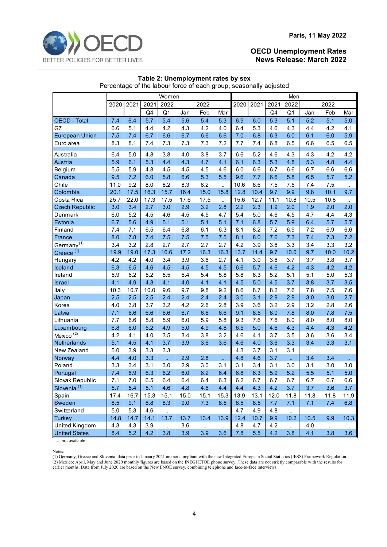

| Percentage of the labour force of each group, seasonally adjusted |       |       |      |                   |      |           |                  |      |         |      |                  |       |          |           |  |
|-------------------------------------------------------------------|-------|-------|------|-------------------|------|-----------|------------------|------|---------|------|------------------|-------|----------|-----------|--|
|                                                                   | Women |       |      |                   |      |           |                  |      |         |      | Men              |       |          |           |  |
|                                                                   | 2020  | 2021  | 2021 | 2022              |      | 2022      |                  | 2020 | 2021    | 2021 | 2022             |       | 2022     |           |  |
|                                                                   |       |       | Q4   | Q <sub>1</sub>    | Jan  | Feb       | Mar              |      |         | Q4   | Q1               | Jan   | Feb      | Mar       |  |
| OECD - Total                                                      | 7.4   | 6.4   | 5.7  | 5.4               | 5.6  | 5.4       | 5.3              | 6.9  | 6.0     | 5.3  | 5.1              | 5.2   | 5.1      | 5.0       |  |
| G7                                                                | 6.6   | 5.1   | 4.4  | 4.2               | 4.3  | 4.2       | 4.0              | 6.4  | 5.3     | 4.6  | 4.3              | 4.4   | 4.2      | 4.1       |  |
| <b>European Union</b>                                             | 7.5   | 7.4   | 6.7  | 6.6               | 6.7  | 6.6       | 6.6              | 7.0  | 6.8     | 6.3  | 6.0              | 6.1   | 6.0      | 5.9       |  |
| Euro area                                                         | 8.3   | 8.1   | 7.4  | 7.3               | 7.3  | $7.3$     | 7.2              | 7.7  | 7.4     | 6.8  | 6.5              | 6.6   | 6.5      | 6.5       |  |
| Australia                                                         | 6.4   | 5.0   | 4.8  | 3.8               | 4.0  | 3.8       | 3.7              | 6.6  | 5.2     | 4.6  | 4.3              | 4.3   | 4.2      | 4.2       |  |
| Austria                                                           | 5.9   | 6.1   | 5.3  | 4.4               | 4.3  | 4.7       | 4.1              | 6.1  | 6.3     | 5.3  | 4.8              | 5.3   | 4.8      | 4.4       |  |
| Belgium                                                           | 5.5   | 5.9   | 4.8  | 4.5               | 4.5  | 4.5       | 4.6              | 6.0  | 6.6     | 6.7  | 6.6              | 6.7   | 6.6      | 6.6       |  |
| Canada                                                            | 9.5   | 7.2   | 6.0  | 5.8               | 6.6  | 5.3       | 5.5              | 9.6  | 7.7     | 6.6  | 5.8              | 6.5   | 5.7      | 5.2       |  |
| Chile                                                             | 11.0  | 9.2   | 8.0  | 8.2               | 8.3  | 8.2       | $\ddotsc$        | 10.6 | 8.6     | 7.5  | 7.5              | 7.4   | 7.5      | $\ddotsc$ |  |
| Colombia                                                          | 20.1  | 17.5  | 16.3 | 15.7              | 16.4 | 15.0      | 15.8             | 12.8 | 10.4    | 9.7  | 9.9              | 9.8   | 10.1     | 9.7       |  |
| Costa Rica                                                        | 25.7  | 22.0  | 17.3 | 17.5              | 17.6 | 17.5      | $\ddotsc$        | 15.6 | 12.7    | 11.1 | 10.8             | 10.5  | 10.8     | $\ldots$  |  |
| <b>Czech Republic</b>                                             | 3.0   | 3.4   | 2.7  | 3.0               | 2.9  | 3.2       | 2.8              | 2.2  | 2.3     | 1.9  | 2.0              | 1.9   | 2.0      | 2.0       |  |
| Denmark                                                           | 6.0   | 5.2   | 4.5  | 4.6               | 4.5  | 4.5       | 4.7              | 5.4  | $5.0\,$ | 4.6  | 4.5              | 4.7   | 4.4      | 4.3       |  |
| Estonia                                                           | 6.7   | 5.6   | 4.9  | 5.1               | 5.1  | 5.1       | 5.1              | 7.1  | 6.8     | 5.7  | 5.9              | 6.4   | 5.7      | 5.7       |  |
| Finland                                                           | 7.4   | 7.1   | 6.5  | 6.4               | 6.8  | 6.1       | 6.3              | 8.1  | 8.2     | 7.2  | 6.9              | 7.2   | 6.9      | 6.6       |  |
| France                                                            | 8.0   | 7.8   | 7.4  | 7.5               | 7.5  | 7.5       | 7.5              | 8.1  | 8.0     | 7.6  | 7.3              | 7.4   | 7.3      | 7.2       |  |
| Germany <sup>(1)</sup>                                            | 3.4   | 3.2   | 2.8  | 2.7               | 2.7  | 2.7       | 2.7              | 4.2  | 3.9     | 3.6  | 3.3              | 3.4   | 3.3      | 3.2       |  |
| Greece <sup>(1)</sup>                                             | 19.9  | 19.0  | 17.3 | 16.6              | 17.2 | 16.3      | 16.3             | 13.7 | 11.4    | 9.7  | 10.0             | 9.7   | 10.0     | 10.2      |  |
| Hungary                                                           | 4.2   | 4.2   | 4.0  | 3.4               | 3.9  | 3.6       | 2.7              | 4.1  | 3.9     | 3.6  | 3.7              | 3.7   | 3.8      | 3.7       |  |
| Iceland                                                           | 6.3   | 6.5   | 4.6  | 4.5               | 4.5  | 4.5       | 4.5              | 6.6  | 5.7     | 4.6  | 4.2              | 4.3   | 4.2      | 4.2       |  |
| Ireland                                                           | 5.9   | 6.2   | 5.2  | 5.5               | 5.4  | 5.4       | 5.8              | 5.8  | 6.3     | 5.2  | 5.1              | 5.1   | 5.0      | 5.3       |  |
| <b>Israel</b>                                                     | 4.1   | 4.9   | 4.3  | 4.1               | 4.0  | 4.1       | 4.1              | 4.5  | 5.0     | 4.5  | 3.7              | 3.8   | 3.7      | 3.5       |  |
| Italy                                                             | 10.3  | 10.7  | 10.0 | 9.6               | 9.7  | 9.8       | 9.2              | 8.6  | 8.7     | 8.2  | 7.6              | 7.8   | 7.5      | 7.6       |  |
| Japan                                                             | 2.5   | 2.5   | 2.5  | 2.4               | 2.4  | 2.4       | 2.4              | 3.0  | 3.1     | 2.9  | 2.9              | 3.0   | 3.0      | 2.7       |  |
| Korea                                                             | 4.0   | 3.8   | 3.7  | 3.2               | 4.2  | 2.6       | 2.8              | 3.9  | 3.6     | 3.2  | 2.9              | 3.2   | 2.8      | 2.6       |  |
| Latvia                                                            | 7.1   | 6.6   | 6.6  | 6.6               | 6.7  | 6.6       | 6.6              | 9.1  | 8.5     | 8.0  | 7.8              | 8.0   | 7.8      | 7.5       |  |
| Lithuania                                                         | 7.7   | 6.6   | 5.8  | 5.9               | 6.0  | 5.9       | 5.8              | 9.3  | 7.6     | 7.6  | 8.0              | 8.0   | 8.0      | 8.0       |  |
| Luxembourg                                                        | 6.8   | 6.0   | 5.2  | 4.9               | 5.0  | 4.9       | 4.8              | 6.5  | 5.0     | 4.6  | 4.3              | 4.4   | 4.3      | 4.2       |  |
| Mexico <sup>(2)</sup>                                             | 4.2   | 4.1   | 4.0  | 3.5               | 3.4  | 3.8       | 3.2              | 4.6  | 4.1     | 3.7  | 3.5              | 3.6   | 3.6      | 3.4       |  |
| Netherlands                                                       | 5.1   | 4.5   | 4.1  | 3.7               | 3.9  | 3.6       | 3.6              | 4.6  | 4.0     | 3.6  | 3.3              | 3.4   | 3.3      | 3.1       |  |
| New Zealand                                                       | 5.0   | 3.9   | 3.3  | 3.3               |      |           |                  | 4.3  | 3.7     | 3.1  | 3.1              |       |          |           |  |
| Norway                                                            | 4.4   | 4.0   | 3.3  | u,                | 2.9  | 2.8       | u,               | 4.8  | 4.6     | 3.7  | ú,               | 3.4   | 3.4      | цý,       |  |
| Poland                                                            | 3.3   | 3.4   | 3.1  | 3.0               | 2.9  | 3.0       | 3.1              | 3.1  | 3.4     | 3.1  | 3.0              | 3.1   | 3.0      | 3.0       |  |
| Portugal                                                          | 7.4   | 6.9   | 6.3  | 6.2               | 6.0  | 6.2       | 6.4              | 6.8  | 6.3     | 5.9  | 5.2              | 5.5   | 5.1      | 5.0       |  |
| Slovak Republic                                                   | 7.1   | $7.0$ | 6.5  | 6.4               | 6.4  | 6.4       | 6.3              | 6.2  | 6.7     | 6.7  | 6.7              | 6.7   | 6.7      | 6.6       |  |
| Slovenia <sup>(1)</sup>                                           | 5.7   | 5.4   | 5.1  | 4.6               | 4.8  | 4.6       | 4.4              | 4.4  | 4.3     | 4.2  | 3.7              | 3.7   | 3.6      | 3.7       |  |
| Spain                                                             | 17.4  | 16.7  | 15.3 | 15.1              | 15.0 | 15.1      | 15.3             | 13.9 | 13.1    | 12.0 | 11.8             | 11.8  | 11.8     | 11.9      |  |
| Sweden                                                            | 8.5   | 9.1   | 8.8  | 8.3               | 9.0  | 7.3       | 8.5              | 8.5  | 8.5     | 7.7  | 7.1              | 7.1   | 7.4      | 6.8       |  |
| Switzerland                                                       | 5.0   | 5.3   | 4.6  |                   |      |           |                  | 4.7  | 4.9     | 4.8  |                  |       |          |           |  |
| <b>Turkey</b>                                                     | 14.8  | 14.7  | 14.1 | $\ddotsc$<br>13.7 | 13.7 | 13.4      | 13.9             | 12.4 | 10.7    | 9.9  | <br>10.2         | 10.5  | 9.9      | 10.3      |  |
| United Kingdom                                                    | 4.3   | 4.3   | 3.9  |                   | 3.6  |           |                  | 4.8  | 4.7     | 4.2  |                  | $4.0$ |          |           |  |
| <b>United States</b>                                              | 8.4   | 5.2   | 4.2  | $\ldots$<br>3.8   | 3.9  | $\ddotsc$ | $\ddotsc$<br>3.6 | 7.8  | $5.5\,$ | 4.2  | $\ddotsc$<br>3.8 | 4.1   | $\ldots$ | $\cdot$ . |  |
|                                                                   |       |       |      |                   |      | 3.9       |                  |      |         |      |                  |       | 3.8      | 3.6       |  |

#### **Table 2: Unemployment rates by sex** Percentage of the labour force of each group, seasonally adjusted

..: not available

Notes:

(1) Germany, Greece and Slovenia: data prior to January 2021 are not compliant with the new Integrated European Social Statistics (IESS) Framework Regulation. (2) Mexico: April, May and June 2020 monthly figures are based on the INEGI ETOE phone survey. These data are not strictly comparable with the results for earlier months. Data from July 2020 are based on the New ENOE survey, combining telephone and face-to-face interviews.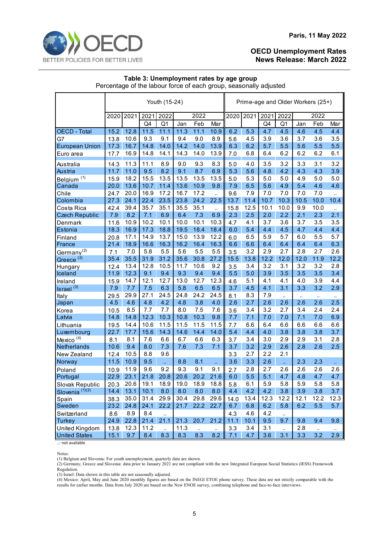

#### **Paris, 11 May 2022**

#### **OECD Unemployment Rates News Release: March 2022**

#### **Table 3: Unemployment rates by age group** Percentage of the labour force of each group, seasonally adjusted

|                                          | Youth (15-24) |      |      |                |      |           |                      | Prime-age and Older Workers (25+) |      |              |                |      |           |           |
|------------------------------------------|---------------|------|------|----------------|------|-----------|----------------------|-----------------------------------|------|--------------|----------------|------|-----------|-----------|
|                                          | 2020          | 2021 | 2021 | 2022           |      | 2022      |                      | 2020                              | 2021 | 2022<br>2021 |                | 2022 |           |           |
|                                          |               |      | Q4   | Q <sub>1</sub> | Jan  | Feb       | Mar                  |                                   |      | Q4           | Q <sub>1</sub> | Jan  | Feb       | Mar       |
| <b>OECD</b> - Total                      | 15.2          | 12.8 | 11.5 | 11.1           | 11.3 | 11.1      | 10.9                 | 6.2                               | 5.3  | 4.7          | 4.5            | 4.6  | 4.5       | 4.4       |
| G7                                       | 13.8          | 10.6 | 9.3  | 9.1            | 9.4  | 9.0       | 8.9                  | 5.6                               | 4.5  | 3.9          | 3.6            | 3.7  | 3.6       | 3.5       |
| <b>European Union</b>                    | 17.3          | 16.7 | 14.8 | 14.0           | 14.2 | 14.0      | 13.9                 | 6.3                               | 6.2  | 5.7          | 5.5            | 5.6  | 5.5       | 5.5       |
| Euro area                                | 17.7          | 16.9 | 14.8 | 14.1           | 14.3 | 14.0      | 13.9                 | 7.0                               | 6.8  | 6.4          | 6.2            | 6.2  | 6.2       | 6.1       |
| Australia                                | 14.3          | 11.3 | 11.1 | 8.9            | 9.0  | 9.3       | 8.3                  | 5.0                               | 4.0  | 3.5          | 3.2            | 3.3  | 3.1       | 3.2       |
| Austria                                  | 11.7          | 11.0 | 9.5  | 8.2            | 9.1  | 8.7       | 6.9                  | 5.3                               | 5.6  | 4.8          | 4.2            | 4.3  | 4.3       | 3.9       |
| Belgium <sup>(1)</sup>                   | 15.9          | 18.2 | 15.5 | 13.5           | 13.5 | 13.5      | 13.5                 | 5.0                               | 5.3  | 5.0          | 5.0            | 4.9  | 5.0       | 5.0       |
| Canada                                   | 20.0          | 13.6 | 10.7 | 11.4           | 13.6 | 10.9      | 9.8                  | 7.9                               | 6.5  | 5.6          | 4.9            | 5.4  | 4.6       | 4.6       |
| Chile                                    | 24.7          | 20.0 | 16.9 | 17.2           | 16.7 | 17.2      | $\ddot{\phantom{a}}$ | 9.6                               | 7.9  | 7.0          | 7.0            | 7.0  | 7.0       |           |
| Colombia                                 | 27.3          | 24.1 | 22.4 | 23.5           | 23.8 | 24.2      | 22.5                 | 13.7                              | 11.4 | 10.7         | 10.3           | 10.5 | 10.0      | 10.4      |
| Costa Rica                               | 42.4          | 39.4 | 35.7 | 35.1           | 35.5 | 35.1      | ٠.                   | 15.8                              | 12.5 | 10.1         | 10.0           | 9.9  | 10.0      | $\ddotsc$ |
| <b>Czech Republic</b>                    | 7.9           | 8.2  | 7.1  | 6.9            | 6.4  | 7.3       | 6.9                  | 2.3                               | 2.5  | 2.0          | 2.2            | 2.1  | 2.3       | 2.1       |
| Denmark                                  | 11.6          | 10.9 | 10.2 | 10.1           | 10.0 | 10.1      | 10.3                 | 4.7                               | 4.1  | 3.7          | 3.6            | 3.7  | 3.5       | 3.5       |
| Estonia                                  | 18.3          | 16.9 | 17.3 | 18.8           | 19.5 | 18.4      | 18.4                 | 6.0                               | 5.4  | 4.4          | 4.5            | 4.7  | 4.4       | 4.4       |
| Finland                                  | 20.8          | 17.1 | 14.9 | 13.7           | 15.0 | 13.9      | 12.2                 | 6.0                               | 6.5  | 5.9          | 5.7            | 6.0  | 5.5       | 5.7       |
| France                                   | 21.4          | 18.9 | 16.6 | 16.3           | 16.2 | 16.4      | 16.3                 | 6.6                               | 6.6  | 6.4          | 6.4            | 6.4  | 6.4       | 6.3       |
| Germany <sup>(2)</sup>                   | 7.1           | 7.0  | 5.8  | 5.5            | 5.6  | 5.5       | 5.5                  | 3.5                               | 3.2  | 2.9          | 2.7            | 2.8  | 2.7       | 2.6       |
| Greece <sup>(2)</sup>                    | 35.4          | 35.5 | 31.9 | 31.2           | 35.6 | 30.8      | 27.2                 | 15.5                              | 13.8 | 12.2         | 12.0           | 12.0 | 11.9      | 12.2      |
| Hungary                                  | 12.4          | 13.4 | 12.8 | 10.5           | 11.7 | 10.6      | 9.2                  | 3.5                               | 3.4  | 3.2          | 3.1            | 3.2  | 3.2       | 2.8       |
| Iceland                                  | 11.9          | 12.3 | 9.1  | 9.4            | 9.3  | 9.4       | 9.4                  | 5.5                               | 5.0  | 3.9          | 3.5            | 3.5  | 3.5       | 3.4       |
| Ireland                                  | 15.9          | 14.7 | 12.1 | 12.7           | 13.0 | 12.7      | 12.3                 | 4.6                               | 5.1  | 4.1          | 4.1            | 4.0  | 3.9       | 4.4       |
| $\overline{\phantom{a}}$ Israel $^{(3)}$ | 7.9           | 7.7  | 7.5  | 6.3            | 5.8  | 6.5       | 6.5                  | 3.7                               | 4.5  | 4.1          | 3.1            | 3.3  | 3.2       | 2.9       |
| Italy                                    | 29.5          | 29.9 | 27.1 | 24.5           | 24.8 | 24.2      | 24.5                 | 8.1                               | 8.3  | 7.9          | $\ddotsc$      |      | $\ddotsc$ | $\cdot$ . |
| Japan                                    | 4.5           | 4.6  | 4.8  | 4.2            | 4.8  | 3.8       | 4.0                  | 2.6                               | 2.7  | 2.6          | 2.6            | 2.6  | 2.6       | 2.5       |
| Korea                                    | 10.5          | 8.5  | 7.7  | 7.7            | 8.0  | 7.5       | 7.6                  | 3.6                               | 3.4  | 3.2          | 2.7            | 3.4  | 2.4       | 2.4       |
| Latvia                                   | 14.8          | 14.8 | 12.3 | 10.3           | 10.8 | 10.3      | 9.8                  | 7.7                               | 7.1  | 7.0          | 7.0            | 7.1  | 7.0       | 6.9       |
| Lithuania                                | 19.5          | 14.4 | 10.6 | 11.5           | 11.5 | 11.5      | 11.5                 | 7.7                               | 6.6  | 6.4          | 6.6            | 6.6  | 6.6       | 6.6       |
| Luxembourg                               | 22.7          | 17.7 | 15.6 | 14.3           | 14.6 | 14.4      | 14.0                 | 5.4                               | 4.4  | 4.0          | 3.8            | 3.8  | 3.8       | 3.7       |
| Mexico <sup>(4)</sup>                    | 8.1           | 8.1  | 7.6  | 6.6            | 6.7  | 6.6       | 6.3                  | 3.7                               | 3.4  | 3.0          | 2.9            | 2.9  | 3.1       | 2.8       |
| Netherlands                              | 10.6          | 9.4  | 8.0  | 7.3            | 7.6  | 7.3       | 7.1                  | 3.7                               | 3.2  | 2.9          | 2.6            | 2.8  | 2.6       | 2.5       |
| New Zealand                              | 12.4          | 10.5 | 8.8  | 9.6            |      |           |                      | 3.3                               | 2.7  | 2.2          | 2.1            |      |           |           |
| Norway                                   | 11.5          | 10.9 | 9.5  | ä.             | 8.8  | 8.1       | u,                   | 3.6                               | 3.3  | 2.6          | u,             | 2.3  | 2.3       | u.        |
| Poland                                   | 10.9          | 11.9 | 9.6  | 9.2            | 9.3  | 9.1       | 9.1                  | 2.7                               | 2.8  | 2.7          | 2.6            | 2.6  | 2.6       | 2.6       |
| Portugal                                 | 22.9          | 23.1 | 21.8 | 20.8           | 20.6 | 20.2      | 21.6                 | 6.0                               | 5.5  | 5.1          | 4.7            | 4.8  | 4.7       | 4.7       |
| Slovak Republic                          | 20.3          | 20.6 | 19.1 | 18.9           | 19.0 | 18.9      | 18.8                 | 5.8                               | 6.1  | 5.9          | 5.8            | 5.9  | 5.8       | 5.8       |
| Slovenia <sup>(1)(2)</sup>               | 14.4          | 13.1 | 10.1 | 8.0            | 8.0  | 8.0       | 8.0                  | 4.4                               | 4.2  | 4.2          | 3.8            | 3.9  | 3.8       | 3.7       |
| Spain                                    | 38.3          | 35.0 | 31.4 | 29.9           | 30.4 | 29.8      | 29.6                 | 14.0                              | 13.4 | 12.3         | 12.2           | 12.1 | 12.2      | 12.3      |
| Sweden                                   | 23.2          | 24.8 | 24.1 | 22.2           | 21.7 | 22.2      | 22.7                 | 6.7                               | 6.8  | 6.2          | 5.8            | 6.2  | 5.5       | 5.7       |
| Switzerland                              | 8.6           | 8.9  | 8.4  | ä.             |      |           |                      | 4.3                               | 4.6  | 4.2          | $\ddotsc$      |      |           |           |
| <b>Turkey</b>                            | 24.9          | 22.8 | 21.4 | 21.1           | 21.3 | 20.7      | 21.2                 | 11.1                              | 10.1 | 9.5          | 9.7            | 9.8  | 9.4       | 9.8       |
| <b>United Kingdom</b>                    | 13.8          | 12.3 | 11.2 | $\mathbb{Z}^2$ | 11.3 | $\ddotsc$ | $\ddotsc$            | 3.3                               | 3.4  | 3.1          | $\ddotsc$      | 2.8  | $\ddotsc$ | $\ddotsc$ |
| <b>United States</b>                     | 15.1          | 9.7  | 8.4  | 8.3            | 8.3  | 8.3       | 8.2                  | 7.1                               | 4.7  | 3.6          | 3.1            | 3.3  | 3.2       | 2.9       |

..: not available

Notes:

(1) Belgium and Slovenia: For youth unemployment, quarterly data are shown.

(2) Germany, Greece and Slovenia: data prior to January 2021 are not compliant with the new Integrated European Social Statistics (IESS) Framework Regulation.

(3) Israel: Data shown in this table are not seasonally adjusted.

(4) Mexico: April, May and June 2020 monthly figures are based on the INEGI ETOE phone survey. These data are not strictly comparable with the results for earlier months. Data from July 2020 are based on the New ENOE survey, combining telephone and face-to-face interviews.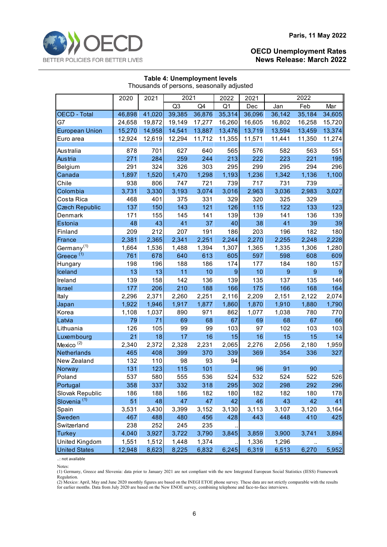

| Thousands of persons, seasonally adjusted |        |        |                |        |                  |                 |                |                  |        |  |  |
|-------------------------------------------|--------|--------|----------------|--------|------------------|-----------------|----------------|------------------|--------|--|--|
|                                           | 2020   | 2021   | 2021           |        | 2022             | 2021            |                | 2022             |        |  |  |
|                                           |        |        | Q <sub>3</sub> | Q4     | Q1               | Dec             | Jan            | Feb              | Mar    |  |  |
| <b>OECD</b> - Total                       | 46,898 | 41,020 | 39,385         | 36,876 | 35,314           | 36,096          | 36,142         | 35,184           | 34,605 |  |  |
| G7                                        | 24,658 | 19,872 | 19,149         | 17,277 | 16,260           | 16,605          | 16,802         | 16,258           | 15,720 |  |  |
| <b>European Union</b>                     | 15,270 | 14,958 | 14,541         | 13,887 | 13,476           | 13,719          | 13,594         | 13,459           | 13,374 |  |  |
| Euro area                                 | 12,924 | 12,619 | 12,294         | 11,712 | 11,355           | 11,571          | 11,441         | 11,350           | 11,274 |  |  |
| Australia                                 | 878    | 701    | 627            | 640    | 565              | 576             | 582            | 563              | 551    |  |  |
| Austria                                   | 271    | 284    | 259            | 244    | 213              | 222             | 223            | 221              | 195    |  |  |
| Belgium                                   | 291    | 324    | 326            | 303    | 295              | 299             | 295            | 294              | 296    |  |  |
| Canada                                    | 1,897  | 1,520  | 1,470          | 1,298  | 1,193            | 1,236           | 1,342          | 1,136            | 1,100  |  |  |
| Chile                                     | 938    | 806    | 747            | 721    | 739              | 717             | 731            | 739              |        |  |  |
| Colombia                                  | 3,731  | 3,330  | 3,193          | 3,074  | 3,016            | 2,963           | 3,036          | 2,983            | 3,027  |  |  |
| Costa Rica                                | 468    | 401    | 375            | 331    | 329              | 320             | 325            | 329              |        |  |  |
| <b>Czech Republic</b>                     | 137    | 150    | 143            | 121    | 126              | 115             | 122            | 133              | 123    |  |  |
| Denmark                                   | 171    | 155    | 145            | 141    | 139              | 139             | 141            | 136              | 139    |  |  |
| Estonia                                   | 48     | 43     | 41             | 37     | 40               | 38              | 41             | 39               | 39     |  |  |
| Finland                                   | 209    | 212    | 207            | 191    | 186              | 203             | 196            | 182              | 180    |  |  |
| France                                    | 2,381  | 2,365  | 2,341          | 2,251  | 2,244            | 2,270           | 2,255          | 2,248            | 2,228  |  |  |
| Germany <sup>(1)</sup>                    | 1,664  | 1,536  | 1,488          | 1,394  | 1,307            | 1,365           | 1,335          | 1,306            | 1,280  |  |  |
| Greece <sup>(1)</sup>                     | 761    | 678    | 640            | 613    | 605              | 597             | 598            | 608              | 609    |  |  |
| Hungary                                   | 198    | 196    | 188            | 186    | 174              | 177             | 184            | 180              | 157    |  |  |
| Iceland                                   | 13     | 13     | 11             | 10     | $\boldsymbol{9}$ | 10 <sub>1</sub> | $\overline{9}$ | $\boldsymbol{9}$ | 9      |  |  |
| Ireland                                   | 139    | 158    | 142            | 136    | 139              | 135             | 137            | 135              | 146    |  |  |
| <b>Israel</b>                             | 177    | 206    | 210            | 188    | 166              | 175             | 166            | 168              | 164    |  |  |
| Italy                                     | 2,296  | 2,371  | 2,260          | 2,251  | 2,116            | 2,209           | 2,151          | 2,122            | 2,074  |  |  |
| Japan                                     | 1,922  | 1,946  | 1,917          | 1,877  | 1,860            | 1,870           | 1,910          | 1,880            | 1,790  |  |  |
| Korea                                     | 1,108  | 1,037  | 890            | 971    | 862              | 1,077           | 1,038          | 780              | 770    |  |  |
| Latvia                                    | 79     | 71     | 69             | 68     | 67               | 69              | 68             | 67               | 66     |  |  |
| Lithuania                                 | 126    | 105    | 99             | 99     | 103              | 97              | 102            | 103              | 103    |  |  |
| Luxembourg                                | 21     | 18     | 17             | 16     | 15               | 16              | 15             | 15               | 14     |  |  |
| Mexico <sup>(2)</sup>                     | 2,340  | 2,372  | 2,328          | 2,231  | 2,065            | 2,276           | 2,056          | 2,180            | 1,959  |  |  |
| Netherlands                               | 465    | 408    | 399            | 370    | 339              | 369             | 354            | 336              | 327    |  |  |
| New Zealand                               | 132    | 110    | 98             | 93     | 94               |                 |                |                  |        |  |  |
| <b>Norway</b>                             | 131    | 123    | 115            | 101    |                  | 96              | 91             | 90               |        |  |  |
| Poland                                    | 537    | 580    | 555            | 536    | 524              | 532             | 524            | 522              | 526    |  |  |
| Portugal                                  | 358    | 337    | 332            | 318    | 295              | 302             | 298            | 292              | 296    |  |  |
| Slovak Republic                           | 186    | 188    | 186            | 182    | 180              | 182             | 182            | 180              | 178    |  |  |
| Slovenia <sup>(1)</sup>                   | 51     | 48     | 47             | 47     | 42               | 46              | 43             | 42               | 41     |  |  |
| Spain                                     | 3,531  | 3,430  | 3,399          | 3,152  | 3,130            | 3,113           | 3,107          | 3,120            | 3,164  |  |  |
| Sweden                                    | 467    | 488    | 480            | 456    | 428              | 443             | 448            | 410              | 425    |  |  |
| Switzerland                               | 238    | 252    | 245            | 235    |                  |                 |                |                  |        |  |  |
| <b>Turkey</b>                             | 4,040  | 3,927  | 3,722          | 3,790  | 3,845            | 3,859           | 3,900          | 3,741            | 3,894  |  |  |
| United Kingdom                            | 1,551  | 1,512  | 1,448          | 1,374  |                  | 1,336           | 1,296          | $\ldots$         |        |  |  |
| <b>United States</b>                      | 12,948 | 8,623  | 8,225          | 6,832  | 6,245            | 6,319           | 6,513          | 6,270            | 5,952  |  |  |

#### **Table 4: Unemployment levels** Thousands of persons, seasonally adjusted

..: not available

(1) Germany, Greece and Slovenia: data prior to January 2021 are not compliant with the new Integrated European Social Statistics (IESS) Framework Regulation.

(2) Mexico: April, May and June 2020 monthly figures are based on the INEGI ETOE phone survey. These data are not strictly comparable with the results for earlier months. Data from July 2020 are based on the New ENOE survey, combining telephone and face-to-face interviews.

Notes: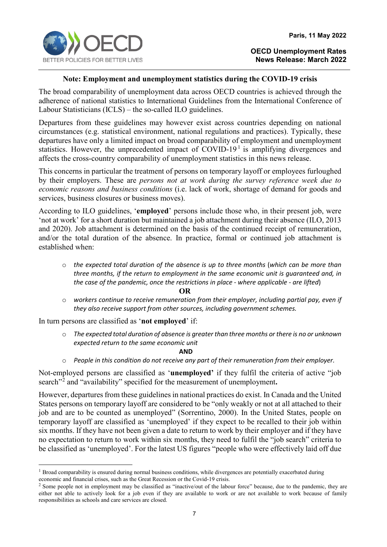

# **Note: Employment and unemployment statistics during the COVID-19 crisis**

The broad comparability of unemployment data across OECD countries is achieved through the adherence of national statistics to International Guidelines from the International Conference of Labour Statisticians (ICLS) – the so-called ILO guidelines.

Departures from these guidelines may however exist across countries depending on national circumstances (e.g. statistical environment, national regulations and practices). Typically, these departures have only a limited impact on broad comparability of employment and unemployment statistics. However, the unprecedented impact of  $\text{COVID-19}^1$  $\text{COVID-19}^1$  $\text{COVID-19}^1$  is amplifying divergences and affects the cross-country comparability of unemployment statistics in this news release.

This concerns in particular the treatment of persons on temporary layoff or employees furloughed by their employers. These are *persons not at work during the survey reference week due to economic reasons and business conditions* (i.e. lack of work, shortage of demand for goods and services, business closures or business moves).

According to ILO guidelines, '**employed**' persons include those who, in their present job, were 'not at work' for a short duration but maintained a job attachment during their absence (ILO, 2013 and 2020). Job attachment is determined on the basis of the continued receipt of remuneration, and/or the total duration of the absence. In practice, formal or continued job attachment is established when:

o *the expected total duration of the absence is up to three months* (*which can be more than three months, if the return to employment in the same economic unit is guaranteed and, in the case of the pandemic, once the restrictions in place - where applicable - are lifted*)

**OR**

o *workers continue to receive remuneration from their employer, including partial pay, even if they also receive support from other sources, including government schemes.*

In turn persons are classified as '**not employed**' if:

o *The expected total duration of absence is greater than three months or there is no or unknown expected return to the same economic unit* 

**AND** 

o *People in this condition do not receive any part of their remuneration from their employer.*

Not-employed persons are classified as '**unemployed'** if they fulfil the criteria of active "job search<sup>"[2](#page-6-1)</sup> and "availability" specified for the measurement of unemployment.

However, departures from these guidelines in national practices do exist. In Canada and the United States persons on temporary layoff are considered to be "only weakly or not at all attached to their job and are to be counted as unemployed" (Sorrentino, 2000). In the United States, people on temporary layoff are classified as 'unemployed' if they expect to be recalled to their job within six months. If they have not been given a date to return to work by their employer and if they have no expectation to return to work within six months, they need to fulfil the "job search" criteria to be classified as 'unemployed'. For the latest US figures "people who were effectively laid off due

<span id="page-6-0"></span><sup>&</sup>lt;sup>1</sup> Broad comparability is ensured during normal business conditions, while divergences are potentially exacerbated during economic and financial crises, such as the Great Recession or the Covid-19 crisis.

<span id="page-6-1"></span><sup>&</sup>lt;sup>2</sup> Some people not in employment may be classified as "inactive/out of the labour force" because, due to the pandemic, they are either not able to actively look for a job even if they are available to work or are not available to work because of family responsibilities as schools and care services are closed.